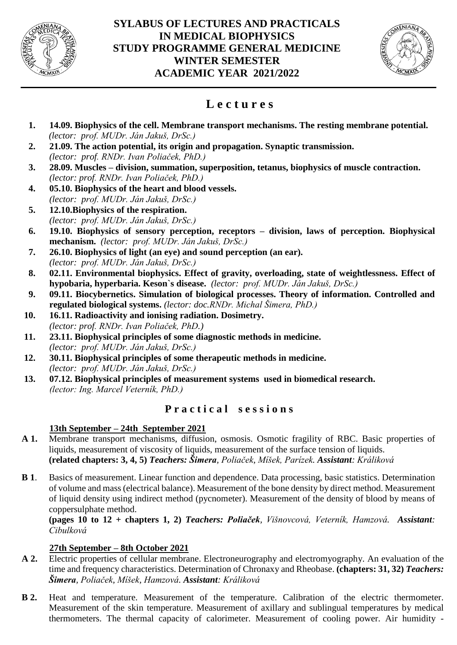



# **L e c t u r e s**

- **1. 14.09. Biophysics of the cell. Membrane transport mechanisms. The resting membrane potential.** *(lector: prof. MUDr. Ján Jakuš, DrSc.)*
- **2. 21.09. The action potential, its origin and propagation. Synaptic transmission.** *(lector: prof. RNDr. Ivan Poliaček, PhD.)*
- **3. 28.09. Muscles – division, summation, superposition, tetanus, biophysics of muscle contraction.** *(lector: prof. RNDr. Ivan Poliaček, PhD.)*
- **4. 05.10. Biophysics of the heart and blood vessels.** *(lector: prof. MUDr. Ján Jakuš, DrSc.)*
- **5. 12.10.Biophysics of the respiration.** *(lector: prof. MUDr. Ján Jakuš, DrSc.)*
- **6. 19.10. Biophysics of sensory perception, receptors – division, laws of perception. Biophysical mechanism.** *(lector: prof. MUDr. Ján Jakuš, DrSc.)*
- **7. 26.10. Biophysics of light (an eye) and sound perception (an ear).** *(lector: prof. MUDr. Ján Jakuš, DrSc.)*
- **8. 02.11. Environmental biophysics. Effect of gravity, overloading, state of weightlessness. Effect of hypobaria, hyperbaria. Keson`s disease.** *(lector: prof. MUDr. Ján Jakuš, DrSc.)*
- **9. 09.11. Biocybernetics. Simulation of biological processes. Theory of information. Controlled and regulated biological systems.** *(lector: doc.RNDr. Michal Šimera, PhD.)*
- **10. 16.11. Radioactivity and ionising radiation. Dosimetry.**  *(lector: prof. RNDr. Ivan Poliaček, PhD.)*
- **11. 23.11. Biophysical principles of some diagnostic methods in medicine.** *(lector: prof. MUDr. Ján Jakuš, DrSc.)*
- **12. 30.11. Biophysical principles of some therapeutic methods in medicine.** *(lector: prof. MUDr. Ján Jakuš, DrSc.)*
- **13. 07.12. Biophysical principles of measurement systems used in biomedical research.** *(lector: Ing. Marcel Veterník, PhD.)*

# **P r a c t i c a l s e s s i o n s**

# **13th September – 24th September 2021**

- **A 1.** Membrane transport mechanisms, diffusion, osmosis. Osmotic fragility of RBC. Basic properties of liquids, measurement of viscosity of liquids, measurement of the surface tension of liquids. **(related chapters: 3, 4, 5)** *Teachers: Šimera, Poliaček, Míšek, Parízek. Assistant: Králiková*
- **B 1**. Basics of measurement. Linear function and dependence. Data processing, basic statistics. Determination of volume and mass (electrical balance). Measurement of the bone density by direct method. Measurement of liquid density using indirect method (pycnometer). Measurement of the density of blood by means of coppersulphate method.

**(pages 10 to 12 + chapters 1, 2)** *Teachers: Poliaček, Višnovcová, Veterník, Hamzová. Assistant: Cibulková*

# **27th September – 8th October 2021**

- **A 2.** Electric properties of cellular membrane. Electroneurography and electromyography. An evaluation of the time and frequency characteristics. Determination of Chronaxy and Rheobase. **(chapters: 31, 32)** *Teachers: Šimera, Poliaček, Míšek, Hamzová. Assistant: Králiková*
- **B 2.** Heat and temperature. Measurement of the temperature. Calibration of the electric thermometer. Measurement of the skin temperature. Measurement of axillary and sublingual temperatures by medical thermometers. The thermal capacity of calorimeter. Measurement of cooling power. Air humidity -